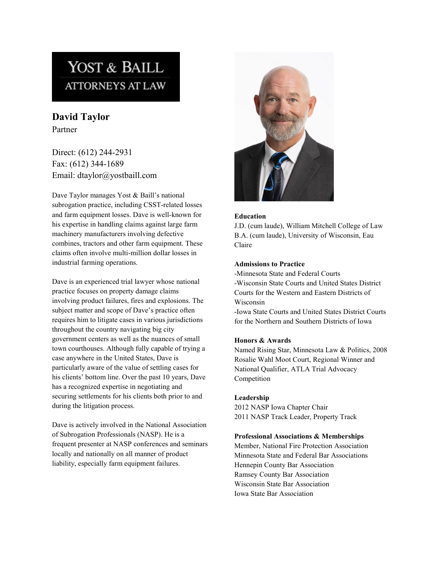# YOST & BAILL **ATTORNEYS AT LAW**

**David Taylor** Partner

Direct: (612) 244-2931 Fax: (612) 344-1689 Email: dtaylor@yostbaill.com

Dave Taylor manages Yost & Baill's national subrogation practice, including CSST-related losses and farm equipment losses. Dave is well-known for his expertise in handling claims against large farm machinery manufacturers involving defective combines, tractors and other farm equipment. These claims often involve multi-million dollar losses in industrial farming operations.

Dave is an experienced trial lawyer whose national practice focuses on property damage claims involving product failures, fires and explosions. The subject matter and scope of Dave's practice often requires him to litigate cases in various jurisdictions throughout the country navigating big city government centers as well as the nuances of small town courthouses. Although fully capable of trying a case anywhere in the United States, Dave is particularly aware of the value of settling cases for his clients' bottom line. Over the past 10 years, Dave has a recognized expertise in negotiating and securing settlements for his clients both prior to and during the litigation process.

Dave is actively involved in the National Association of Subrogation Professionals (NASP). He is a frequent presenter at NASP conferences and seminars locally and nationally on all manner of product liability, especially farm equipment failures.



#### **Education**

J.D. (cum laude), William Mitchell College of Law B.A. (cum laude), University of Wisconsin, Eau Claire

#### **Admissions to Practice**

-Minnesota State and Federal Courts -Wisconsin State Courts and United States District Courts for the Western and Eastern Districts of Wisconsin

-Iowa State Courts and United States District Courts for the Northern and Southern Districts of Iowa

## **Honors & Awards**

Named Rising Star, Minnesota Law & Politics, 2008 Rosalie Wahl Moot Court, Regional Winner and National Qualifier, ATLA Trial Advocacy Competition

## **Leadership**

2012 NASP Iowa Chapter Chair 2011 NASP Track Leader, Property Track

## **Professional Associations & Memberships**

Member, National Fire Protection Association Minnesota State and Federal Bar Associations Hennepin County Bar Association Ramsey County Bar Association Wisconsin State Bar Association Iowa State Bar Association